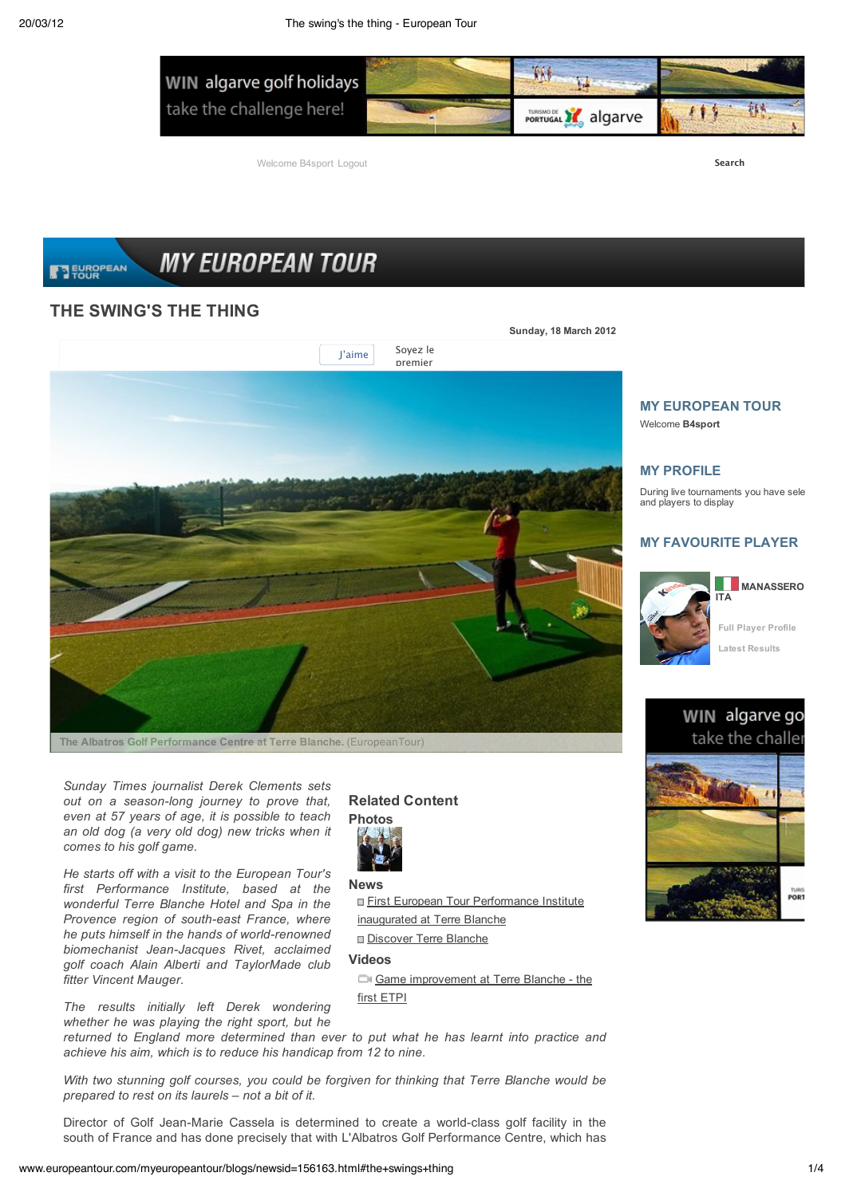

Welcome B4sport Logout **Search**

### **MY EUROPEAN TOUR THEUROPEAN**

## **THE SWING'S THE THING**



*Sunday Times journalist Derek Clements sets out on a season-long journey to prove that, even at 57 years of age, it is possible to teach an old dog (a very old dog) new tricks when it comes to his golf game.*

*He starts off with a visit to the European Tour's first Performance Institute, based at the wonderful Terre Blanche Hotel and Spa in the Provence region of south-east France, where he puts himself in the hands of world-renowned biomechanist Jean-Jacques Rivet, acclaimed golf coach Alain Alberti and TaylorMade club fitter Vincent Mauger.*

*The results initially left Derek wondering whether he was playing the right sport, but he*

*returned to England more determined than ever to put what he has learnt into practice and achieve his aim, which is to reduce his handicap from 12 to nine.*

*With two stunning golf courses, you could be forgiven for thinking that Terre Blanche would be prepared to rest on its laurels – not a bit of it.*

Director of Golf Jean-Marie Cassela is determined to create a world-class golf facility in the south of France and has done precisely that with L'Albatros Golf Performance Centre, which has

## **Related Content**



## **News**

First European Tour Performance Institute inaugurated at Terre Blanche Discover Terre Blanche

#### **Videos**

Game improvement at Terre Blanche - the first ETPI

## **MY EUROPEAN TOUR**

Welcome **B4sport**

#### **MY PROFILE**

During live tournaments you have sele<br>and players to display

### **MY FAVOURITE PLAYER**



# WIN algarve go take the challer

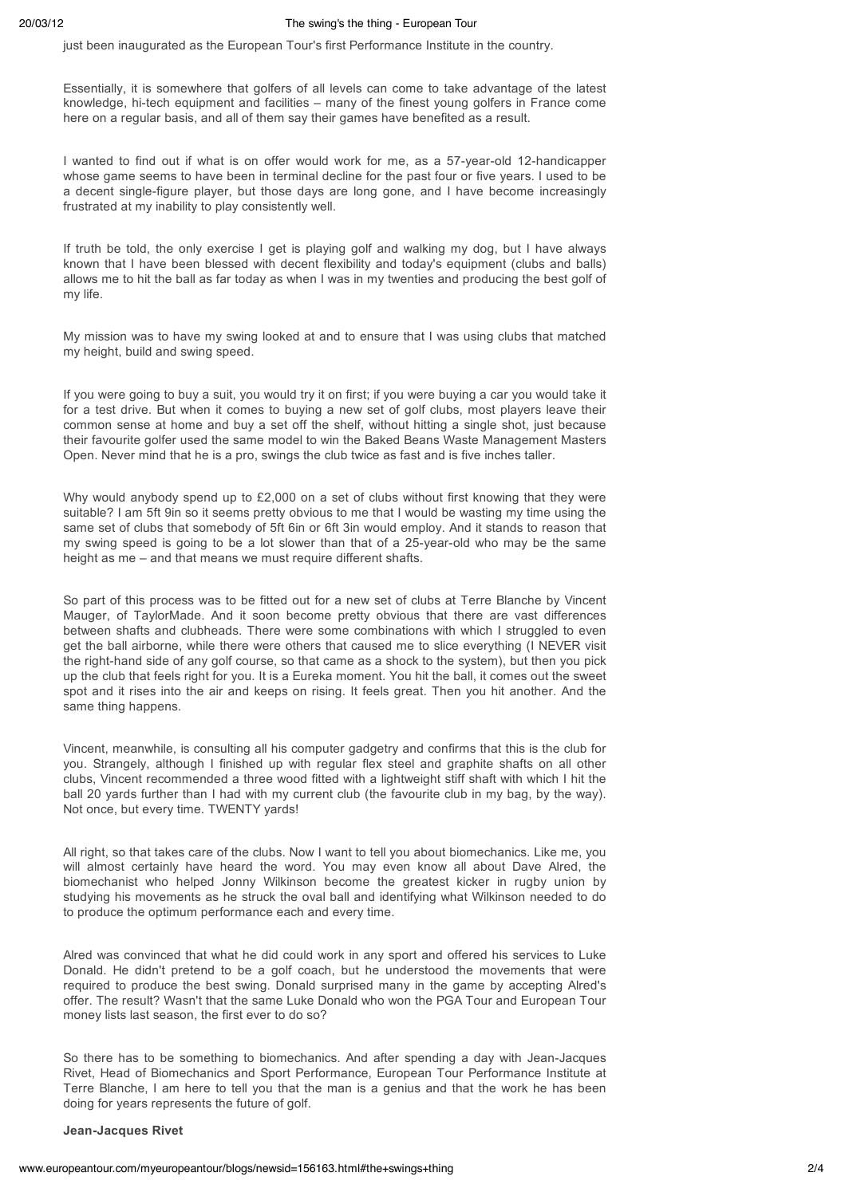#### 20/03/12 The swing's the thing - European Tour

just been inaugurated as the European Tour's first Performance Institute in the country.

Essentially, it is somewhere that golfers of all levels can come to take advantage of the latest knowledge, hi-tech equipment and facilities – many of the finest young golfers in France come here on a regular basis, and all of them say their games have benefited as a result.

I wanted to find out if what is on offer would work for me, as a 57-year-old 12-handicapper whose game seems to have been in terminal decline for the past four or five years. I used to be a decent single-figure player, but those days are long gone, and I have become increasingly frustrated at my inability to play consistently well.

If truth be told, the only exercise I get is playing golf and walking my dog, but I have always known that I have been blessed with decent flexibility and today's equipment (clubs and balls) allows me to hit the ball as far today as when I was in my twenties and producing the best golf of my life.

My mission was to have my swing looked at and to ensure that I was using clubs that matched my height, build and swing speed.

If you were going to buy a suit, you would try it on first; if you were buying a car you would take it for a test drive. But when it comes to buying a new set of golf clubs, most players leave their common sense at home and buy a set off the shelf, without hitting a single shot, just because their favourite golfer used the same model to win the Baked Beans Waste Management Masters Open. Never mind that he is a pro, swings the club twice as fast and is five inches taller.

Why would anybody spend up to £2,000 on a set of clubs without first knowing that they were suitable? I am 5ft 9in so it seems pretty obvious to me that I would be wasting my time using the same set of clubs that somebody of 5ft 6in or 6ft 3in would employ. And it stands to reason that my swing speed is going to be a lot slower than that of a 25-year-old who may be the same height as me – and that means we must require different shafts.

So part of this process was to be fitted out for a new set of clubs at Terre Blanche by Vincent Mauger, of TaylorMade. And it soon become pretty obvious that there are vast differences between shafts and clubheads. There were some combinations with which I struggled to even get the ball airborne, while there were others that caused me to slice everything (I NEVER visit the right-hand side of any golf course, so that came as a shock to the system), but then you pick up the club that feels right for you. It is a Eureka moment. You hit the ball, it comes out the sweet spot and it rises into the air and keeps on rising. It feels great. Then you hit another. And the same thing happens.

Vincent, meanwhile, is consulting all his computer gadgetry and confirms that this is the club for you. Strangely, although I finished up with regular flex steel and graphite shafts on all other clubs, Vincent recommended a three wood fitted with a lightweight stiff shaft with which I hit the ball 20 yards further than I had with my current club (the favourite club in my bag, by the way). Not once, but every time. TWENTY yards!

All right, so that takes care of the clubs. Now I want to tell you about biomechanics. Like me, you will almost certainly have heard the word. You may even know all about Dave Alred, the biomechanist who helped Jonny Wilkinson become the greatest kicker in rugby union by studying his movements as he struck the oval ball and identifying what Wilkinson needed to do to produce the optimum performance each and every time.

Alred was convinced that what he did could work in any sport and offered his services to Luke Donald. He didn't pretend to be a golf coach, but he understood the movements that were required to produce the best swing. Donald surprised many in the game by accepting Alred's offer. The result? Wasn't that the same Luke Donald who won the PGA Tour and European Tour money lists last season, the first ever to do so?

So there has to be something to biomechanics. And after spending a day with Jean-Jacques Rivet, Head of Biomechanics and Sport Performance, European Tour Performance Institute at Terre Blanche, I am here to tell you that the man is a genius and that the work he has been doing for years represents the future of golf.

#### **Jean-Jacques Rivet**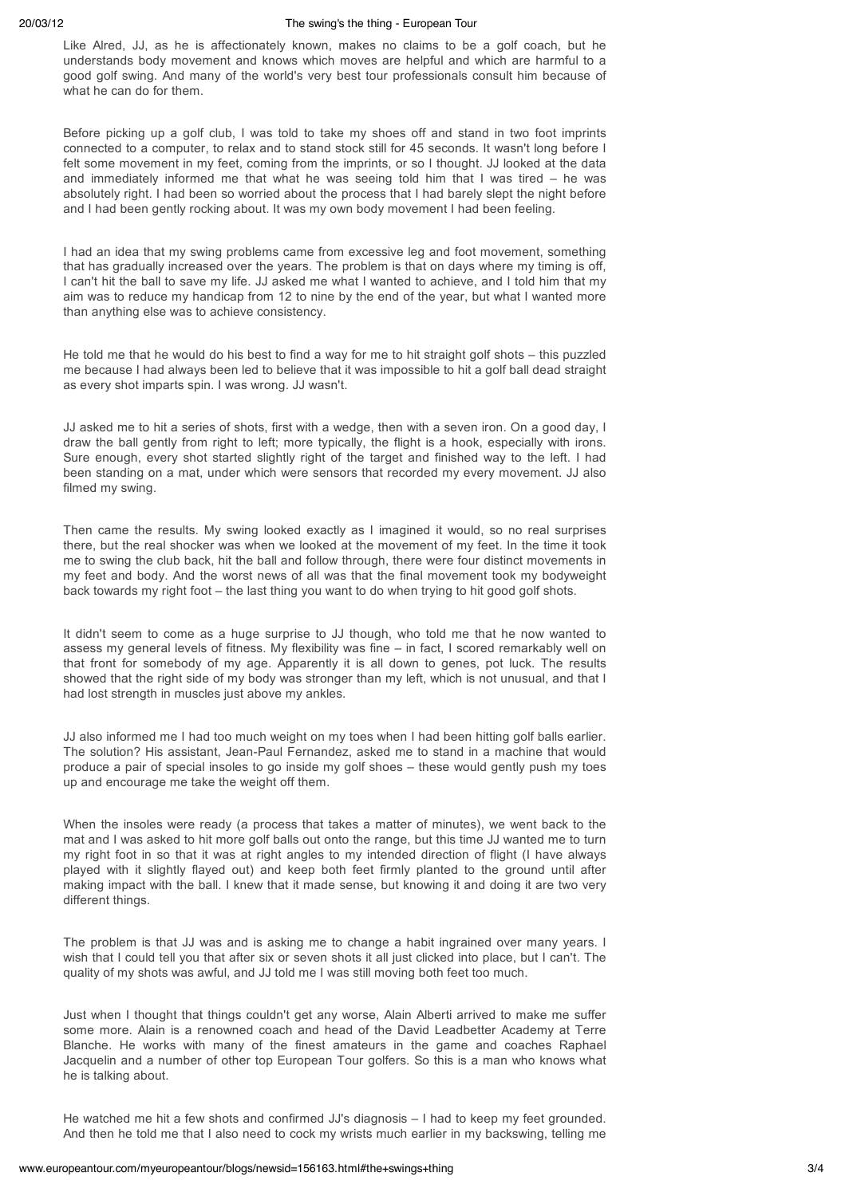Like Alred, JJ, as he is affectionately known, makes no claims to be a golf coach, but he understands body movement and knows which moves are helpful and which are harmful to a good golf swing. And many of the world's very best tour professionals consult him because of what he can do for them.

Before picking up a golf club, I was told to take my shoes off and stand in two foot imprints connected to a computer, to relax and to stand stock still for 45 seconds. It wasn't long before I felt some movement in my feet, coming from the imprints, or so I thought. JJ looked at the data and immediately informed me that what he was seeing told him that I was tired – he was absolutely right. I had been so worried about the process that I had barely slept the night before and I had been gently rocking about. It was my own body movement I had been feeling.

I had an idea that my swing problems came from excessive leg and foot movement, something that has gradually increased over the years. The problem is that on days where my timing is off, I can't hit the ball to save my life. JJ asked me what I wanted to achieve, and I told him that my aim was to reduce my handicap from 12 to nine by the end of the year, but what I wanted more than anything else was to achieve consistency.

He told me that he would do his best to find a way for me to hit straight golf shots – this puzzled me because I had always been led to believe that it was impossible to hit a golf ball dead straight as every shot imparts spin. I was wrong. JJ wasn't.

JJ asked me to hit a series of shots, first with a wedge, then with a seven iron. On a good day, I draw the ball gently from right to left; more typically, the flight is a hook, especially with irons. Sure enough, every shot started slightly right of the target and finished way to the left. I had been standing on a mat, under which were sensors that recorded my every movement. JJ also filmed my swing.

Then came the results. My swing looked exactly as I imagined it would, so no real surprises there, but the real shocker was when we looked at the movement of my feet. In the time it took me to swing the club back, hit the ball and follow through, there were four distinct movements in my feet and body. And the worst news of all was that the final movement took my bodyweight back towards my right foot – the last thing you want to do when trying to hit good golf shots.

It didn't seem to come as a huge surprise to JJ though, who told me that he now wanted to assess my general levels of fitness. My flexibility was fine – in fact, I scored remarkably well on that front for somebody of my age. Apparently it is all down to genes, pot luck. The results showed that the right side of my body was stronger than my left, which is not unusual, and that I had lost strength in muscles just above my ankles.

JJ also informed me I had too much weight on my toes when I had been hitting golf balls earlier. The solution? His assistant, Jean-Paul Fernandez, asked me to stand in a machine that would produce a pair of special insoles to go inside my golf shoes – these would gently push my toes up and encourage me take the weight off them.

When the insoles were ready (a process that takes a matter of minutes), we went back to the mat and I was asked to hit more golf balls out onto the range, but this time JJ wanted me to turn my right foot in so that it was at right angles to my intended direction of flight (I have always played with it slightly flayed out) and keep both feet firmly planted to the ground until after making impact with the ball. I knew that it made sense, but knowing it and doing it are two very different things.

The problem is that JJ was and is asking me to change a habit ingrained over many years. I wish that I could tell you that after six or seven shots it all just clicked into place, but I can't. The quality of my shots was awful, and JJ told me I was still moving both feet too much.

Just when I thought that things couldn't get any worse, Alain Alberti arrived to make me suffer some more. Alain is a renowned coach and head of the David Leadbetter Academy at Terre Blanche. He works with many of the finest amateurs in the game and coaches Raphael Jacquelin and a number of other top European Tour golfers. So this is a man who knows what he is talking about.

He watched me hit a few shots and confirmed JJ's diagnosis – I had to keep my feet grounded. And then he told me that I also need to cock my wrists much earlier in my backswing, telling me